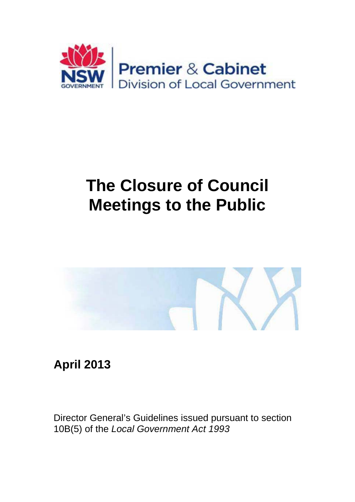

# **The Closure of Council Meetings to the Public**



**April 2013**

Director General's Guidelines issued pursuant to section 10B(5) of the *Local Government Act 1993*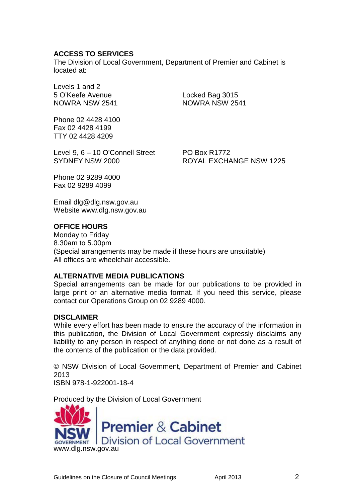#### **ACCESS TO SERVICES**

The Division of Local Government, Department of Premier and Cabinet is located at:

Levels 1 and 2 NOWRA NSW 2541

5 O'Keefe Avenue Locked Bag 3015

Phone 02 4428 4100 Fax 02 4428 4199 TTY 02 4428 4209

Level 9, 6 – 10 O'Connell Street PO Box R1772

SYDNEY NSW 2000 ROYAL EXCHANGE NSW 1225

Phone 02 9289 4000 Fax 02 9289 4099

Email dlg@dlg.nsw.gov.au Website www.dlg.nsw.gov.au

#### **OFFICE HOURS**

Monday to Friday 8.30am to 5.00pm (Special arrangements may be made if these hours are unsuitable) All offices are wheelchair accessible.

#### **ALTERNATIVE MEDIA PUBLICATIONS**

Special arrangements can be made for our publications to be provided in large print or an alternative media format. If you need this service, please contact our Operations Group on 02 9289 4000.

#### **DISCLAIMER**

While every effort has been made to ensure the accuracy of the information in this publication, the Division of Local Government expressly disclaims any liability to any person in respect of anything done or not done as a result of the contents of the publication or the data provided.

© NSW Division of Local Government, Department of Premier and Cabinet 2013

ISBN 978-1-922001-18-4

Produced by the Division of Local Government

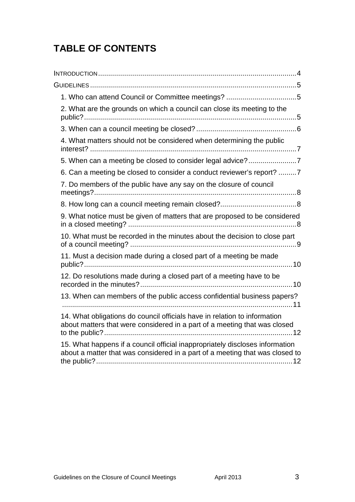## **TABLE OF CONTENTS**

| 1. Who can attend Council or Committee meetings? 5                                                                                                           |
|--------------------------------------------------------------------------------------------------------------------------------------------------------------|
| 2. What are the grounds on which a council can close its meeting to the                                                                                      |
|                                                                                                                                                              |
| 4. What matters should not be considered when determining the public                                                                                         |
|                                                                                                                                                              |
| 6. Can a meeting be closed to consider a conduct reviewer's report? 7                                                                                        |
| 7. Do members of the public have any say on the closure of council                                                                                           |
|                                                                                                                                                              |
| 9. What notice must be given of matters that are proposed to be considered                                                                                   |
| 10. What must be recorded in the minutes about the decision to close part                                                                                    |
| 11. Must a decision made during a closed part of a meeting be made                                                                                           |
| 12. Do resolutions made during a closed part of a meeting have to be                                                                                         |
| 13. When can members of the public access confidential business papers?                                                                                      |
| 14. What obligations do council officials have in relation to information<br>about matters that were considered in a part of a meeting that was closed       |
| 15. What happens if a council official inappropriately discloses information<br>about a matter that was considered in a part of a meeting that was closed to |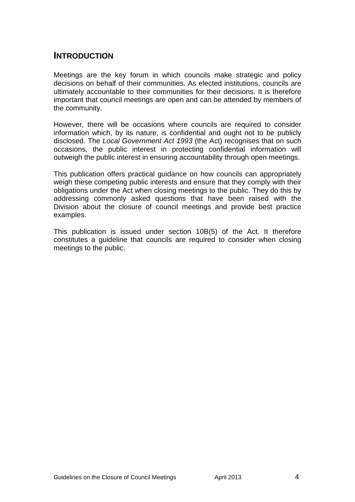## <span id="page-3-0"></span>**INTRODUCTION**

Meetings are the key forum in which councils make strategic and policy decisions on behalf of their communities. As elected institutions, councils are ultimately accountable to their communities for their decisions. It is therefore important that council meetings are open and can be attended by members of the community.

However, there will be occasions where councils are required to consider information which, by its nature, is confidential and ought not to be publicly disclosed. The *Local Government Act 1993* (the Act) recognises that on such occasions, the public interest in protecting confidential information will outweigh the public interest in ensuring accountability through open meetings.

This publication offers practical guidance on how councils can appropriately weigh these competing public interests and ensure that they comply with their obligations under the Act when closing meetings to the public. They do this by addressing commonly asked questions that have been raised with the Division about the closure of council meetings and provide best practice examples.

This publication is issued under section 10B(5) of the Act. It therefore constitutes a guideline that councils are required to consider when closing meetings to the public.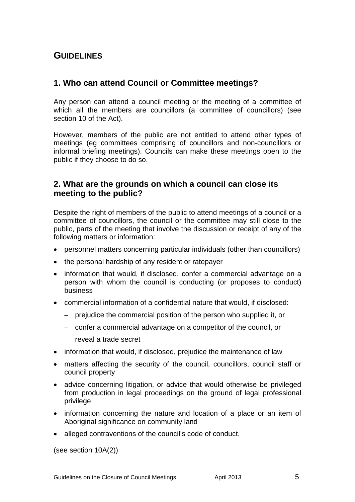## <span id="page-4-0"></span>**GUIDELINES**

## <span id="page-4-1"></span>**1. Who can attend Council or Committee meetings?**

Any person can attend a council meeting or the meeting of a committee of which all the members are councillors (a committee of councillors) (see section 10 of the Act).

However, members of the public are not entitled to attend other types of meetings (eg committees comprising of councillors and non-councillors or informal briefing meetings). Councils can make these meetings open to the public if they choose to do so.

#### <span id="page-4-2"></span>**2. What are the grounds on which a council can close its meeting to the public?**

Despite the right of members of the public to attend meetings of a council or a committee of councillors, the council or the committee may still close to the public, parts of the meeting that involve the discussion or receipt of any of the following matters or information:

- personnel matters concerning particular individuals (other than councillors)
- the personal hardship of any resident or ratepayer
- information that would, if disclosed, confer a commercial advantage on a person with whom the council is conducting (or proposes to conduct) business
- commercial information of a confidential nature that would, if disclosed:
	- − prejudice the commercial position of the person who supplied it, or
	- − confer a commercial advantage on a competitor of the council, or
	- − reveal a trade secret
- information that would, if disclosed, prejudice the maintenance of law
- matters affecting the security of the council, councillors, council staff or council property
- advice concerning litigation, or advice that would otherwise be privileged from production in legal proceedings on the ground of legal professional privilege
- information concerning the nature and location of a place or an item of Aboriginal significance on community land
- alleged contraventions of the council's code of conduct.

(see section 10A(2))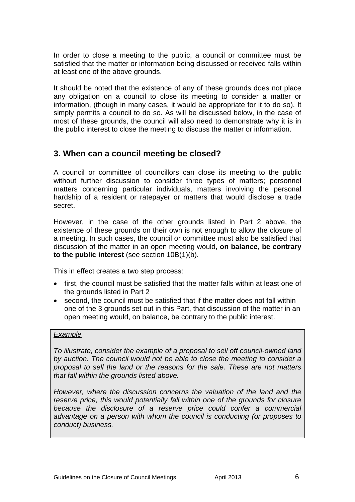In order to close a meeting to the public, a council or committee must be satisfied that the matter or information being discussed or received falls within at least one of the above grounds.

It should be noted that the existence of any of these grounds does not place any obligation on a council to close its meeting to consider a matter or information, (though in many cases, it would be appropriate for it to do so). It simply permits a council to do so. As will be discussed below, in the case of most of these grounds, the council will also need to demonstrate why it is in the public interest to close the meeting to discuss the matter or information.

## <span id="page-5-0"></span>**3. When can a council meeting be closed?**

A council or committee of councillors can close its meeting to the public without further discussion to consider three types of matters; personnel matters concerning particular individuals, matters involving the personal hardship of a resident or ratepayer or matters that would disclose a trade secret.

However, in the case of the other grounds listed in Part 2 above, the existence of these grounds on their own is not enough to allow the closure of a meeting. In such cases, the council or committee must also be satisfied that discussion of the matter in an open meeting would, **on balance, be contrary to the public interest** (see section 10B(1)(b).

This in effect creates a two step process:

- first, the council must be satisfied that the matter falls within at least one of the grounds listed in Part 2
- second, the council must be satisfied that if the matter does not fall within one of the 3 grounds set out in this Part, that discussion of the matter in an open meeting would, on balance, be contrary to the public interest.

#### *Example*

*To illustrate, consider the example of a proposal to sell off council-owned land by auction. The council would not be able to close the meeting to consider a proposal to sell the land or the reasons for the sale. These are not matters that fall within the grounds listed above.* 

*However, where the discussion concerns the valuation of the land and the reserve price, this would potentially fall within one of the grounds for closure because the disclosure of a reserve price could confer a commercial advantage on a person with whom the council is conducting (or proposes to conduct) business.*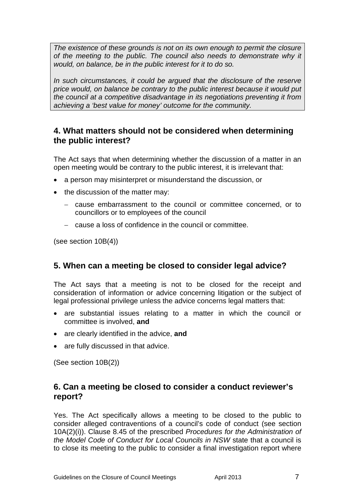*The existence of these grounds is not on its own enough to permit the closure of the meeting to the public. The council also needs to demonstrate why it would, on balance, be in the public interest for it to do so.*

*In such circumstances, it could be argued that the disclosure of the reserve price would, on balance be contrary to the public interest because it would put the council at a competitive disadvantage in its negotiations preventing it from achieving a 'best value for money' outcome for the community.*

## <span id="page-6-0"></span>**4. What matters should not be considered when determining the public interest?**

The Act says that when determining whether the discussion of a matter in an open meeting would be contrary to the public interest, it is irrelevant that:

- a person may misinterpret or misunderstand the discussion, or
- the discussion of the matter may:
	- − cause embarrassment to the council or committee concerned, or to councillors or to employees of the council
	- − cause a loss of confidence in the council or committee.

(see section 10B(4))

#### <span id="page-6-1"></span>**5. When can a meeting be closed to consider legal advice?**

The Act says that a meeting is not to be closed for the receipt and consideration of information or advice concerning litigation or the subject of legal professional privilege unless the advice concerns legal matters that:

- are substantial issues relating to a matter in which the council or committee is involved, **and**
- are clearly identified in the advice, **and**
- are fully discussed in that advice.

(See section 10B(2))

#### <span id="page-6-2"></span>**6. Can a meeting be closed to consider a conduct reviewer's report?**

Yes. The Act specifically allows a meeting to be closed to the public to consider alleged contraventions of a council's code of conduct (see section 10A(2)(i)). Clause 8.45 of the prescribed *Procedures for the Administration of the Model Code of Conduct for Local Councils in NSW* state that a council is to close its meeting to the public to consider a final investigation report where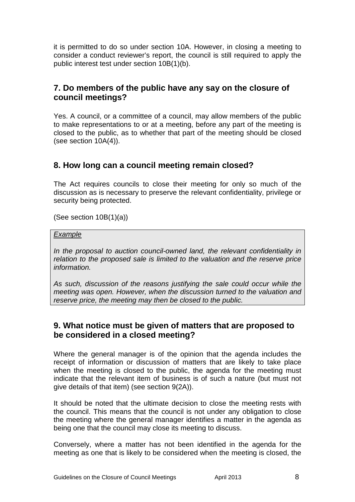it is permitted to do so under section 10A. However, in closing a meeting to consider a conduct reviewer's report, the council is still required to apply the public interest test under section 10B(1)(b).

## <span id="page-7-0"></span>**7. Do members of the public have any say on the closure of council meetings?**

Yes. A council, or a committee of a council, may allow members of the public to make representations to or at a meeting, before any part of the meeting is closed to the public, as to whether that part of the meeting should be closed (see section 10A(4)).

## <span id="page-7-1"></span>**8. How long can a council meeting remain closed?**

The Act requires councils to close their meeting for only so much of the discussion as is necessary to preserve the relevant confidentiality, privilege or security being protected.

(See section 10B(1)(a))

#### *Example*

*In the proposal to auction council-owned land, the relevant confidentiality in relation to the proposed sale is limited to the valuation and the reserve price information.*

*As such, discussion of the reasons justifying the sale could occur while the meeting was open. However, when the discussion turned to the valuation and reserve price, the meeting may then be closed to the public.*

#### <span id="page-7-2"></span>**9. What notice must be given of matters that are proposed to be considered in a closed meeting?**

Where the general manager is of the opinion that the agenda includes the receipt of information or discussion of matters that are likely to take place when the meeting is closed to the public, the agenda for the meeting must indicate that the relevant item of business is of such a nature (but must not give details of that item) (see section 9(2A)).

It should be noted that the ultimate decision to close the meeting rests with the council. This means that the council is not under any obligation to close the meeting where the general manager identifies a matter in the agenda as being one that the council may close its meeting to discuss.

Conversely, where a matter has not been identified in the agenda for the meeting as one that is likely to be considered when the meeting is closed, the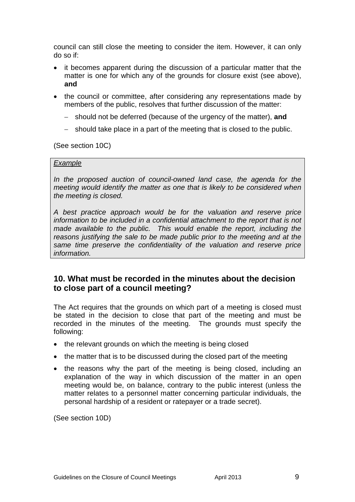council can still close the meeting to consider the item. However, it can only do so if:

- it becomes apparent during the discussion of a particular matter that the matter is one for which any of the grounds for closure exist (see above), **and**
- the council or committee, after considering any representations made by members of the public, resolves that further discussion of the matter:
	- − should not be deferred (because of the urgency of the matter), **and**
	- − should take place in a part of the meeting that is closed to the public.

(See section 10C)

#### *Example*

*In the proposed auction of council-owned land case, the agenda for the meeting would identify the matter as one that is likely to be considered when the meeting is closed.*

*A best practice approach would be for the valuation and reserve price information to be included in a confidential attachment to the report that is not made available to the public. This would enable the report, including the reasons justifying the sale to be made public prior to the meeting and at the same time preserve the confidentiality of the valuation and reserve price information.*

## <span id="page-8-0"></span>**10. What must be recorded in the minutes about the decision to close part of a council meeting?**

The Act requires that the grounds on which part of a meeting is closed must be stated in the decision to close that part of the meeting and must be recorded in the minutes of the meeting. The grounds must specify the following:

- the relevant grounds on which the meeting is being closed
- the matter that is to be discussed during the closed part of the meeting
- the reasons why the part of the meeting is being closed, including an explanation of the way in which discussion of the matter in an open meeting would be, on balance, contrary to the public interest (unless the matter relates to a personnel matter concerning particular individuals, the personal hardship of a resident or ratepayer or a trade secret).

(See section 10D)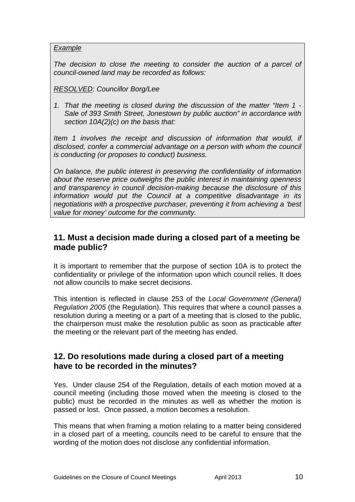#### *Example*

*The decision to close the meeting to consider the auction of a parcel of council-owned land may be recorded as follows:*

*RESOLVED: Councillor Borg/Lee*

*1. That the meeting is closed during the discussion of the matter "Item 1 - Sale of 393 Smith Street, Jonestown by public auction" in accordance with section 10A(2)(c) on the basis that:*

*Item 1 involves the receipt and discussion of information that would, if disclosed, confer a commercial advantage on a person with whom the council is conducting (or proposes to conduct) business.*

*On balance, the public interest in preserving the confidentiality of information about the reserve price outweighs the public interest in maintaining openness and transparency in council decision-making because the disclosure of this information would put the Council at a competitive disadvantage in its negotiations with a prospective purchaser, preventing it from achieving a 'best value for money' outcome for the community.*

## <span id="page-9-0"></span>**11. Must a decision made during a closed part of a meeting be made public?**

It is important to remember that the purpose of section 10A is to protect the confidentiality or privilege of the information upon which council relies. It does not allow councils to make secret decisions.

This intention is reflected in clause 253 of the *Local Government (General) Regulation 2005* (the Regulation). This requires that where a council passes a resolution during a meeting or a part of a meeting that is closed to the public, the chairperson must make the resolution public as soon as practicable after the meeting or the relevant part of the meeting has ended.

#### <span id="page-9-1"></span>**12. Do resolutions made during a closed part of a meeting have to be recorded in the minutes?**

Yes. Under clause 254 of the Regulation, details of each motion moved at a council meeting (including those moved when the meeting is closed to the public) must be recorded in the minutes as well as whether the motion is passed or lost. Once passed, a motion becomes a resolution.

This means that when framing a motion relating to a matter being considered in a closed part of a meeting, councils need to be careful to ensure that the wording of the motion does not disclose any confidential information.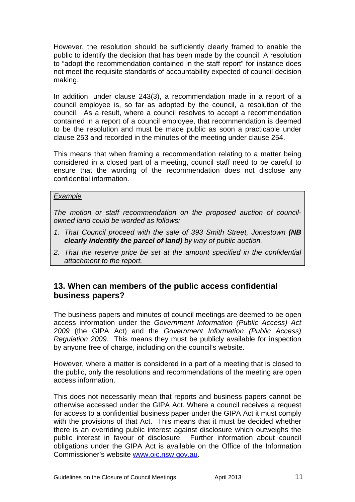However, the resolution should be sufficiently clearly framed to enable the public to identify the decision that has been made by the council. A resolution to "adopt the recommendation contained in the staff report" for instance does not meet the requisite standards of accountability expected of council decision making.

In addition, under clause 243(3), a recommendation made in a report of a council employee is, so far as adopted by the council, a resolution of the council. As a result, where a council resolves to accept a recommendation contained in a report of a council employee, that recommendation is deemed to be the resolution and must be made public as soon a practicable under clause 253 and recorded in the minutes of the meeting under clause 254.

This means that when framing a recommendation relating to a matter being considered in a closed part of a meeting, council staff need to be careful to ensure that the wording of the recommendation does not disclose any confidential information.

#### *Example*

*The motion or staff recommendation on the proposed auction of councilowned land could be worded as follows:*

- *1. That Council proceed with the sale of 393 Smith Street, Jonestown (NB clearly indentify the parcel of land) by way of public auction.*
- *2. That the reserve price be set at the amount specified in the confidential attachment to the report.*

## <span id="page-10-0"></span>**13. When can members of the public access confidential business papers?**

The business papers and minutes of council meetings are deemed to be open access information under the *Government Information (Public Access) Act 2009* (the GIPA Act) and the *Government Information (Public Access) Regulation 2009*. This means they must be publicly available for inspection by anyone free of charge, including on the council's website.

However, where a matter is considered in a part of a meeting that is closed to the public, only the resolutions and recommendations of the meeting are open access information.

This does not necessarily mean that reports and business papers cannot be otherwise accessed under the GIPA Act. Where a council receives a request for access to a confidential business paper under the GIPA Act it must comply with the provisions of that Act. This means that it must be decided whether there is an overriding public interest against disclosure which outweighs the public interest in favour of disclosure. Further information about council obligations under the GIPA Act is available on the Office of the Information Commissioner's website [www.oic.nsw.gov.au.](http://www.oic.nsw.gov.au/)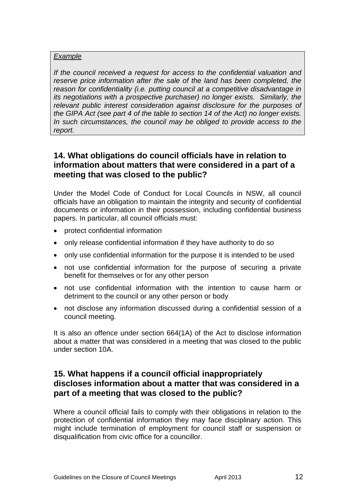#### *Example*

*If the council received a request for access to the confidential valuation and reserve price information after the sale of the land has been completed, the reason for confidentiality (i.e. putting council at a competitive disadvantage in its negotiations with a prospective purchaser) no longer exists. Similarly, the relevant public interest consideration against disclosure for the purposes of the GIPA Act (see part 4 of the table to section 14 of the Act) no longer exists. In such circumstances, the council may be obliged to provide access to the report.*

## <span id="page-11-0"></span>**14. What obligations do council officials have in relation to information about matters that were considered in a part of a meeting that was closed to the public?**

Under the Model Code of Conduct for Local Councils in NSW, all council officials have an obligation to maintain the integrity and security of confidential documents or information in their possession, including confidential business papers. In particular, all council officials must:

- protect confidential information
- only release confidential information if they have authority to do so
- only use confidential information for the purpose it is intended to be used
- not use confidential information for the purpose of securing a private benefit for themselves or for any other person
- not use confidential information with the intention to cause harm or detriment to the council or any other person or body
- not disclose any information discussed during a confidential session of a council meeting.

It is also an offence under section 664(1A) of the Act to disclose information about a matter that was considered in a meeting that was closed to the public under section 10A.

## <span id="page-11-1"></span>**15. What happens if a council official inappropriately discloses information about a matter that was considered in a part of a meeting that was closed to the public?**

Where a council official fails to comply with their obligations in relation to the protection of confidential information they may face disciplinary action. This might include termination of employment for council staff or suspension or disqualification from civic office for a councillor.